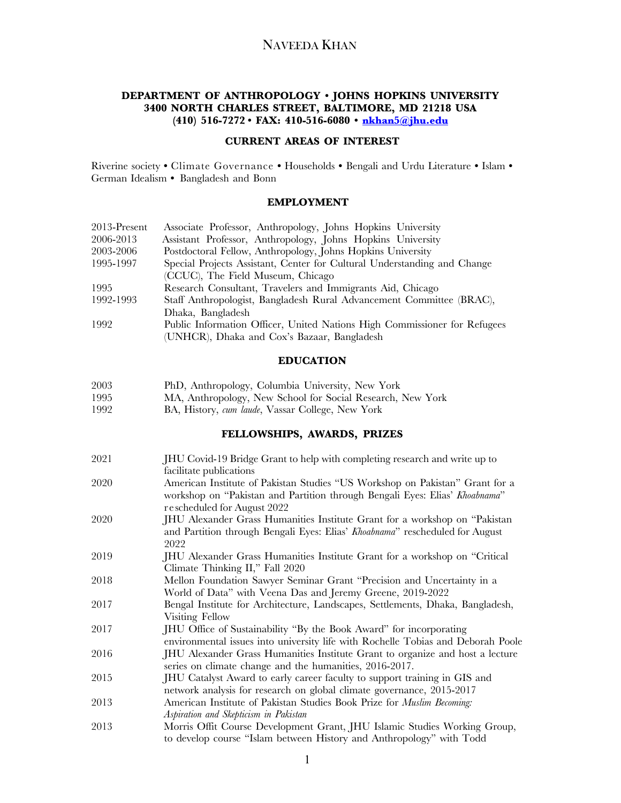## **DEPARTMENT OF ANTHROPOLOGY • JOHNS HOPKINS UNIVERSITY 3400 NORTH CHARLES STREET, BALTIMORE, MD 21218 USA (410) 516-7272 • FAX: 410-516-6080 • nkhan5@jhu.edu**

### **CURRENT AREAS OF INTEREST**

Riverine society **•** Climate Governance **•** Households **•** Bengali and Urdu Literature **•** Islam **•** German Idealism **•** Bangladesh and Bonn

### **EMPLOYMENT**

| 2013-Present | Associate Professor, Anthropology, Johns Hopkins University               |
|--------------|---------------------------------------------------------------------------|
| 2006-2013    | Assistant Professor, Anthropology, Johns Hopkins University               |
| 2003-2006    | Postdoctoral Fellow, Anthropology, Johns Hopkins University               |
| 1995-1997    | Special Projects Assistant, Center for Cultural Understanding and Change  |
|              | (CCUC), The Field Museum, Chicago                                         |
| 1995         | Research Consultant, Travelers and Immigrants Aid, Chicago                |
| 1992-1993    | Staff Anthropologist, Bangladesh Rural Advancement Committee (BRAC),      |
|              | Dhaka, Bangladesh                                                         |
| 1992         | Public Information Officer, United Nations High Commissioner for Refugees |
|              | (UNHCR), Dhaka and Cox's Bazaar, Bangladesh                               |

### **EDUCATION**

| PhD, Anthropology, Columbia University, New York | 2003 |  |  |  |  |  |
|--------------------------------------------------|------|--|--|--|--|--|
|--------------------------------------------------|------|--|--|--|--|--|

- 1995 MA, Anthropology, New School for Social Research, New York
- 1992 BA, History, *cum laude*, Vassar College, New York

### **FELLOWSHIPS, AWARDS, PRIZES**

| 2021 | JHU Covid-19 Bridge Grant to help with completing research and write up to                                                                                  |
|------|-------------------------------------------------------------------------------------------------------------------------------------------------------------|
|      | facilitate publications                                                                                                                                     |
| 2020 | American Institute of Pakistan Studies "US Workshop on Pakistan" Grant for a<br>workshop on "Pakistan and Partition through Bengali Eyes: Elias' Khoabnama" |
|      | rescheduled for August 2022                                                                                                                                 |
| 2020 |                                                                                                                                                             |
|      | JHU Alexander Grass Humanities Institute Grant for a workshop on "Pakistan                                                                                  |
|      | and Partition through Bengali Eyes: Elias' Khoabnama" rescheduled for August<br>2022                                                                        |
| 2019 | JHU Alexander Grass Humanities Institute Grant for a workshop on "Critical                                                                                  |
|      | Climate Thinking II," Fall 2020                                                                                                                             |
| 2018 | Mellon Foundation Sawyer Seminar Grant "Precision and Uncertainty in a                                                                                      |
|      | World of Data" with Veena Das and Jeremy Greene, 2019-2022                                                                                                  |
| 2017 | Bengal Institute for Architecture, Landscapes, Settlements, Dhaka, Bangladesh,                                                                              |
|      | Visiting Fellow                                                                                                                                             |
| 2017 | JHU Office of Sustainability "By the Book Award" for incorporating                                                                                          |
|      | environmental issues into university life with Rochelle Tobias and Deborah Poole                                                                            |
| 2016 | JHU Alexander Grass Humanities Institute Grant to organize and host a lecture                                                                               |
|      | series on climate change and the humanities, 2016-2017.                                                                                                     |
| 2015 | JHU Catalyst Award to early career faculty to support training in GIS and                                                                                   |
|      | network analysis for research on global climate governance, 2015-2017                                                                                       |
| 2013 | American Institute of Pakistan Studies Book Prize for Muslim Becoming:                                                                                      |
|      | Aspiration and Skepticism in Pakistan                                                                                                                       |
|      |                                                                                                                                                             |
| 2013 | Morris Offit Course Development Grant, JHU Islamic Studies Working Group,                                                                                   |
|      | to develop course "Islam between History and Anthropology" with Todd                                                                                        |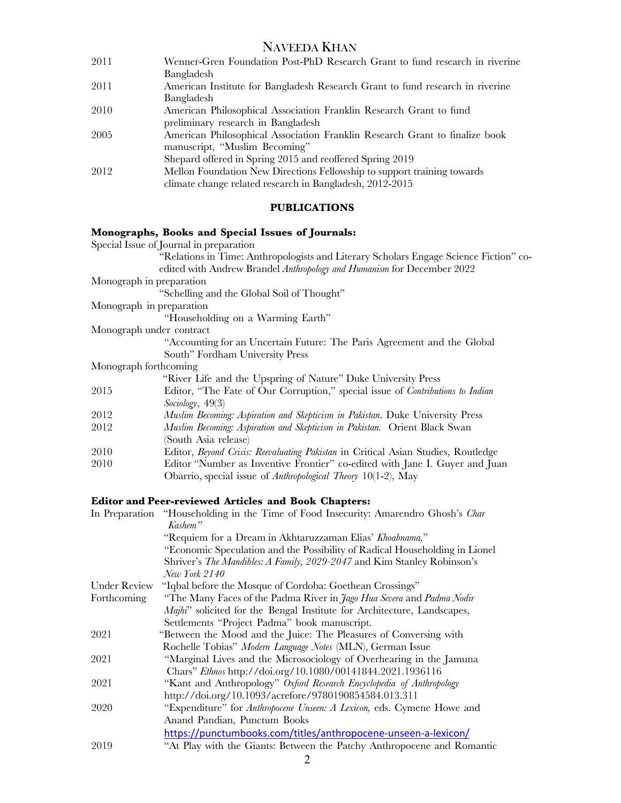| 2011 | Wenner-Gren Foundation Post-PhD Research Grant to fund research in riverine   |
|------|-------------------------------------------------------------------------------|
|      | Bangladesh                                                                    |
| 2011 | American Institute for Bangladesh Research Grant to fund research in riverine |
|      | Bangladesh                                                                    |
| 2010 | American Philosophical Association Franklin Research Grant to fund            |
|      | preliminary research in Bangladesh                                            |
| 2005 | American Philosophical Association Franklin Research Grant to finalize book   |
|      | manuscript, "Muslim Becoming"                                                 |
|      | Shepard offered in Spring 2015 and reoffered Spring 2019                      |
| 2012 | Mellon Foundation New Directions Fellowship to support training towards       |
|      | climate change related research in Bangladesh, 2012-2015                      |
|      |                                                                               |

## **PUBLICATIONS**

## **Monographs, Books and Special Issues of Journals:**

| $\frac{1}{2}$                                                                                 |
|-----------------------------------------------------------------------------------------------|
| Special Issue of Journal in preparation                                                       |
| "Relations in Time: Anthropologists and Literary Scholars Engage Science Fiction" co-         |
| edited with Andrew Brandel Anthropology and Humanism for December 2022                        |
| Monograph in preparation                                                                      |
| "Schelling and the Global Soil of Thought"                                                    |
| Monograph in preparation                                                                      |
| "Householding on a Warming Earth"                                                             |
| Monograph under contract                                                                      |
| "Accounting for an Uncertain Future: The Paris Agreement and the Global                       |
| South" Fordham University Press                                                               |
| Monograph forthcoming                                                                         |
| "River Life and the Upspring of Nature" Duke University Press                                 |
| Editor, "The Fate of Our Corruption," special issue of <i>Contributions to Indian</i><br>2015 |
| Sociology, $49(3)$                                                                            |
| Muslim Becoming: Aspiration and Skepticism in Pakistan. Duke University Press<br>2012         |
| Muslim Becoming: Aspiration and Skepticism in Pakistan. Orient Black Swan<br>2012             |
| (South Asia release)                                                                          |
| Editor, Beyond Crisis: Reevaluating Pakistan in Critical Asian Studies, Routledge<br>2010     |
| 2010<br>Editor "Number as Inventive Frontier" co-edited with Jane I. Guyer and Juan           |
| Obarrio, special issue of <i>Anthropological Theory</i> 10(1-2), May                          |
|                                                                                               |
| <b>Editor and Peer-reviewed Articles and Book Chapters:</b>                                   |

|              | In Preparation "Householding in the Time of Food Insecurity: Amarendro Ghosh's Char |
|--------------|-------------------------------------------------------------------------------------|
|              | Kashem"                                                                             |
|              | "Requiem for a Dream in Akhtaruzzaman Elias' Khoabnama,"                            |
|              | "Economic Speculation and the Possibility of Radical Householding in Lionel         |
|              | Shriver's The Mandibles: A Family, 2029-2047 and Kim Stanley Robinson's             |
|              | New York 2140                                                                       |
| Under Review | "Iqbal before the Mosque of Cordoba: Goethean Crossings"                            |
| Forthcoming  | "The Many Faces of the Padma River in <i>Jago Hua Severa</i> and <i>Padma Nodir</i> |
|              | Majhi" solicited for the Bengal Institute for Architecture, Landscapes,             |
|              | Settlements "Project Padma" book manuscript.                                        |
| 2021         | "Between the Mood and the Juice: The Pleasures of Conversing with                   |
|              | Rochelle Tobias" Modern Language Notes (MLN), German Issue                          |
| 2021         | "Marginal Lives and the Microsociology of Overhearing in the Jamuna                 |
|              | Chars" Ethnos http://doi.org/10.1080/00141844.2021.1936116                          |
| 2021         | "Kant and Anthropology" Oxford Research Encyclopedia of Anthropology                |
|              | http://doi.org/10.1093/acrefore/9780190854584.013.311                               |
| 2020         | "Expenditure" for Anthropocene Unseen: A Lexicon, eds. Cymene Howe and              |
|              | Anand Pandian, Punctum Books                                                        |
|              | https://punctumbooks.com/titles/anthropocene-unseen-a-lexicon/                      |
| 2019         | "At Play with the Giants: Between the Patchy Anthropocene and Romantic              |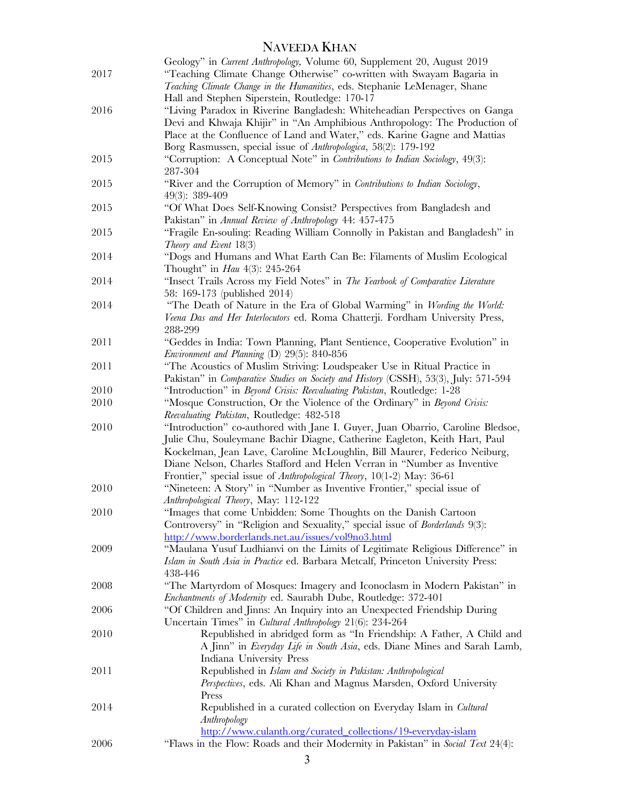| 2017 | Geology" in Current Anthropology, Volume 60, Supplement 20, August 2019<br>"Teaching Climate Change Otherwise" co-written with Swayam Bagaria in<br>Teaching Climate Change in the Humanities, eds. Stephanie LeMenager, Shane                                                                                                                                                                |
|------|-----------------------------------------------------------------------------------------------------------------------------------------------------------------------------------------------------------------------------------------------------------------------------------------------------------------------------------------------------------------------------------------------|
|      | Hall and Stephen Siperstein, Routledge: 170-17                                                                                                                                                                                                                                                                                                                                                |
| 2016 | "Living Paradox in Riverine Bangladesh: Whiteheadian Perspectives on Ganga<br>Devi and Khwaja Khijir" in "An Amphibious Anthropology: The Production of<br>Place at the Confluence of Land and Water," eds. Karine Gagne and Mattias<br>Borg Rasmussen, special issue of Anthropologica, 58(2): 179-192                                                                                       |
| 2015 | "Corruption: A Conceptual Note" in Contributions to Indian Sociology, 49(3):<br>287-304                                                                                                                                                                                                                                                                                                       |
| 2015 | "River and the Corruption of Memory" in Contributions to Indian Sociology,<br>49(3): 389-409                                                                                                                                                                                                                                                                                                  |
| 2015 | "Of What Does Self-Knowing Consist? Perspectives from Bangladesh and<br>Pakistan" in Annual Review of Anthropology 44: 457-475                                                                                                                                                                                                                                                                |
| 2015 | "Fragile En-souling: Reading William Connolly in Pakistan and Bangladesh" in<br>Theory and Event $18(3)$                                                                                                                                                                                                                                                                                      |
| 2014 | "Dogs and Humans and What Earth Can Be: Filaments of Muslim Ecological<br>Thought" in <i>Hau</i> 4(3): 245-264                                                                                                                                                                                                                                                                                |
| 2014 | "Insect Trails Across my Field Notes" in The Yearbook of Comparative Literature<br>58: 169-173 (published 2014)                                                                                                                                                                                                                                                                               |
| 2014 | "The Death of Nature in the Era of Global Warming" in Wording the World:<br>Veena Das and Her Interlocutors ed. Roma Chatterji. Fordham University Press,<br>288-299                                                                                                                                                                                                                          |
| 2011 | "Geddes in India: Town Planning, Plant Sentience, Cooperative Evolution" in<br>Environment and Planning (D) 29(5): 840-856                                                                                                                                                                                                                                                                    |
| 2011 | "The Acoustics of Muslim Striving: Loudspeaker Use in Ritual Practice in<br>Pakistan" in Comparative Studies on Society and History (CSSH), 53(3), July: 571-594                                                                                                                                                                                                                              |
| 2010 | "Introduction" in Beyond Crisis: Reevaluating Pakistan, Routledge: 1-28                                                                                                                                                                                                                                                                                                                       |
| 2010 | "Mosque Construction, Or the Violence of the Ordinary" in Beyond Crisis:<br>Reevaluating Pakistan, Routledge: 482-518                                                                                                                                                                                                                                                                         |
| 2010 | "Introduction" co-authored with Jane I. Guyer, Juan Obarrio, Caroline Bledsoe,<br>Julie Chu, Souleymane Bachir Diagne, Catherine Eagleton, Keith Hart, Paul<br>Kockelman, Jean Lave, Caroline McLoughlin, Bill Maurer, Federico Neiburg,<br>Diane Nelson, Charles Stafford and Helen Verran in "Number as Inventive<br>Frontier," special issue of Anthropological Theory, 10(1-2) May: 36-61 |
| 2010 | "Nineteen: A Story" in "Number as Inventive Frontier," special issue of<br>Anthropological Theory, May: 112-122                                                                                                                                                                                                                                                                               |
| 2010 | "Images that come Unbidden: Some Thoughts on the Danish Cartoon<br>Controversy" in "Religion and Sexuality," special issue of Borderlands 9(3):<br>http://www.borderlands.net.au/issues/vol9no3.html                                                                                                                                                                                          |
| 2009 | "Maulana Yusuf Ludhianvi on the Limits of Legitimate Religious Difference" in<br>Islam in South Asia in Practice ed. Barbara Metcalf, Princeton University Press:<br>438-446                                                                                                                                                                                                                  |
| 2008 | "The Martyrdom of Mosques: Imagery and Iconoclasm in Modern Pakistan" in<br>Enchantments of Modernity ed. Saurabh Dube, Routledge: 372-401                                                                                                                                                                                                                                                    |
| 2006 | "Of Children and Jinns: An Inquiry into an Unexpected Friendship During<br>Uncertain Times" in Cultural Anthropology 21(6): 234-264                                                                                                                                                                                                                                                           |
| 2010 | Republished in abridged form as "In Friendship: A Father, A Child and<br>A Jinn" in <i>Everyday Life in South Asia</i> , eds. Diane Mines and Sarah Lamb,<br>Indiana University Press                                                                                                                                                                                                         |
| 2011 | Republished in Islam and Society in Pakistan: Anthropological<br>Perspectives, eds. Ali Khan and Magnus Marsden, Oxford University<br>Press                                                                                                                                                                                                                                                   |
| 2014 | Republished in a curated collection on Everyday Islam in Cultural<br>Anthropology<br>http://www.culanth.org/curated_collections/19-everyday-islam                                                                                                                                                                                                                                             |
| 2006 | "Flaws in the Flow: Roads and their Modernity in Pakistan" in Social Text 24(4):                                                                                                                                                                                                                                                                                                              |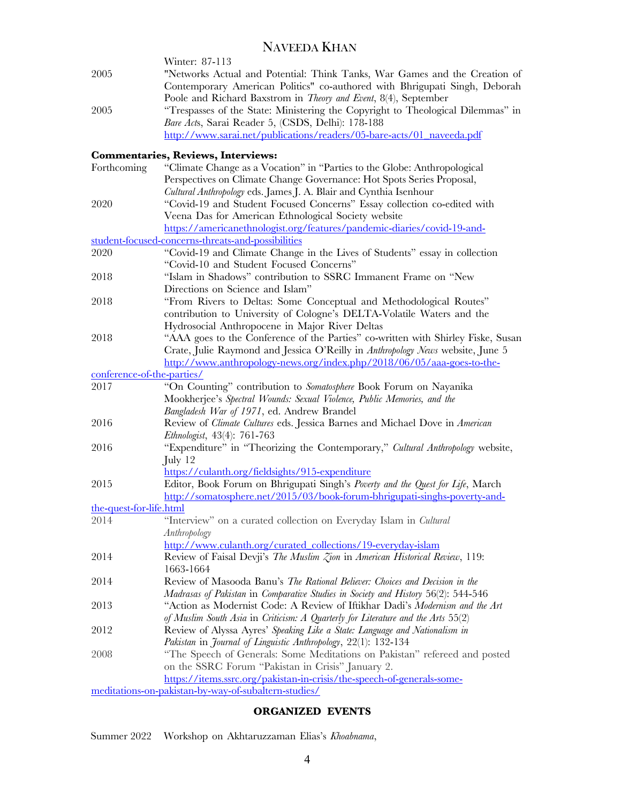|      | Winter: 87-113                                                                  |
|------|---------------------------------------------------------------------------------|
| 2005 | "Networks Actual and Potential: Think Tanks, War Games and the Creation of      |
|      | Contemporary American Politics" co-authored with Bhrigupati Singh, Deborah      |
|      | Poole and Richard Baxstrom in Theory and Event, 8(4), September                 |
| 2005 | "Trespasses of the State: Ministering the Copyright to Theological Dilemmas" in |
|      | Bare Acts, Sarai Reader 5, (CSDS, Delhi): 178-188                               |
|      | http://www.sarai.net/publications/readers/05-bare-acts/01 naveeda.pdf           |

### **Commentaries, Reviews, Interviews:**

|                            | Commentaries, Reviews, Interviews:                                                  |
|----------------------------|-------------------------------------------------------------------------------------|
| Forthcoming                | "Climate Change as a Vocation" in "Parties to the Globe: Anthropological            |
|                            | Perspectives on Climate Change Governance: Hot Spots Series Proposal,               |
|                            | Cultural Anthropology eds. James J. A. Blair and Cynthia Isenhour                   |
| 2020                       | "Covid-19 and Student Focused Concerns" Essay collection co-edited with             |
|                            | Veena Das for American Ethnological Society website                                 |
|                            | https://americanethnologist.org/features/pandemic-diaries/covid-19-and-             |
|                            | student-focused-concerns-threats-and-possibilities                                  |
| 2020                       | "Covid-19 and Climate Change in the Lives of Students" essay in collection          |
|                            | "Covid-10 and Student Focused Concerns"                                             |
| 2018                       | "Islam in Shadows" contribution to SSRC Immanent Frame on "New                      |
|                            | Directions on Science and Islam"                                                    |
| 2018                       | "From Rivers to Deltas: Some Conceptual and Methodological Routes"                  |
|                            | contribution to University of Cologne's DELTA-Volatile Waters and the               |
|                            | Hydrosocial Anthropocene in Major River Deltas                                      |
| 2018                       | "AAA goes to the Conference of the Parties" co-written with Shirley Fiske, Susan    |
|                            | Crate, Julie Raymond and Jessica O'Reilly in Anthropology News website, June 5      |
|                            | http://www.anthropology-news.org/index.php/2018/06/05/aaa-goes-to-the-              |
| conference-of-the-parties/ |                                                                                     |
| 2017                       | "On Counting" contribution to Somatosphere Book Forum on Nayanika                   |
|                            | Mookherjee's Spectral Wounds: Sexual Violence, Public Memories, and the             |
|                            | Bangladesh War of 1971, ed. Andrew Brandel                                          |
| 2016                       | Review of Climate Cultures eds. Jessica Barnes and Michael Dove in American         |
|                            | Ethnologist, 43(4): 761-763                                                         |
| 2016                       | "Expenditure" in "Theorizing the Contemporary," Cultural Anthropology website,      |
|                            | $\text{July } 12$                                                                   |
|                            | https://culanth.org/fieldsights/915-expenditure                                     |
| 2015                       | Editor, Book Forum on Bhrigupati Singh's Poverty and the Quest for Life, March      |
|                            | http://somatosphere.net/2015/03/book-forum-bhrigupati-singhs-poverty-and-           |
| the-quest-for-life.html    |                                                                                     |
| 2014                       | "Interview" on a curated collection on Everyday Islam in Cultural                   |
|                            | Anthropology                                                                        |
|                            | http://www.culanth.org/curated_collections/19-everyday-islam                        |
| 2014                       | Review of Faisal Devji's The Muslim Zion in American Historical Review, 119:        |
|                            | 1663-1664                                                                           |
| 2014                       | Review of Masooda Banu's The Rational Believer: Choices and Decision in the         |
|                            | Madrasas of Pakistan in Comparative Studies in Society and History 56(2): 544-546   |
| 2013                       | "Action as Modernist Code: A Review of Iftikhar Dadi's <i>Modernism and the Art</i> |
|                            | of Muslim South Asia in Criticism: A Quarterly for Literature and the Arts $55(2)$  |
| 2012                       | Review of Alyssa Ayres' Speaking Like a State: Language and Nationalism in          |
|                            | Pakistan in Journal of Linguistic Anthropology, 22(1): 132-134                      |
| 2008                       | "The Speech of Generals: Some Meditations on Pakistan" refereed and posted          |
|                            | on the SSRC Forum "Pakistan in Crisis" January 2.                                   |
|                            | https://items.ssrc.org/pakistan-in-crisis/the-speech-of-generals-some-              |
|                            | meditations-on-pakistan-by-way-of-subaltern-studies/                                |
|                            |                                                                                     |

## **ORGANIZED EVENTS**

Summer 2022 Workshop on Akhtaruzzaman Elias's *Khoabnama*,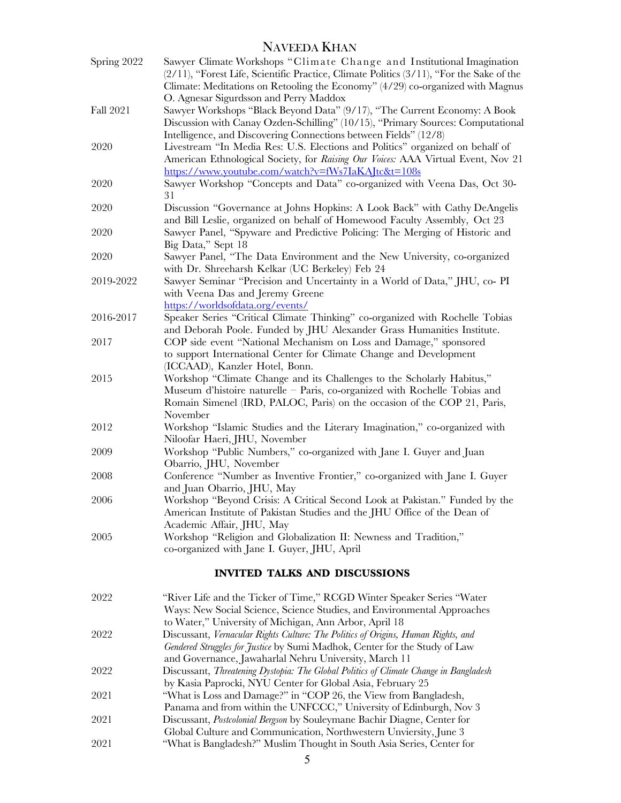| Spring 2022 | Sawyer Climate Workshops "Climate Change and Institutional Imagination<br>(2/11), "Forest Life, Scientific Practice, Climate Politics (3/11), "For the Sake of the<br>Climate: Meditations on Retooling the Economy" (4/29) co-organized with Magnus<br>O. Agnesar Sigurdsson and Perry Maddox |
|-------------|------------------------------------------------------------------------------------------------------------------------------------------------------------------------------------------------------------------------------------------------------------------------------------------------|
| Fall 2021   | Sawyer Workshops "Black Beyond Data" (9/17), "The Current Economy: A Book<br>Discussion with Canay Ozden-Schilling" (10/15), "Primary Sources: Computational<br>Intelligence, and Discovering Connections between Fields" (12/8)                                                               |
| 2020        | Livestream "In Media Res: U.S. Elections and Politics" organized on behalf of<br>American Ethnological Society, for Raising Our Voices: AAA Virtual Event, Nov 21<br>https://www.youtube.com/watch?v=fWs7IaKAJtc&t=108s                                                                        |
| 2020        | Sawyer Workshop "Concepts and Data" co-organized with Veena Das, Oct 30-<br>31                                                                                                                                                                                                                 |
| 2020        | Discussion "Governance at Johns Hopkins: A Look Back" with Cathy DeAngelis<br>and Bill Leslie, organized on behalf of Homewood Faculty Assembly, Oct 23                                                                                                                                        |
| 2020        | Sawyer Panel, "Spyware and Predictive Policing: The Merging of Historic and<br>Big Data," Sept 18                                                                                                                                                                                              |
| 2020        | Sawyer Panel, "The Data Environment and the New University, co-organized<br>with Dr. Shreeharsh Kelkar (UC Berkeley) Feb 24                                                                                                                                                                    |
| 2019-2022   | Sawyer Seminar "Precision and Uncertainty in a World of Data," JHU, co- PI<br>with Veena Das and Jeremy Greene<br>https://worldsofdata.org/events/                                                                                                                                             |
| 2016-2017   | Speaker Series "Critical Climate Thinking" co-organized with Rochelle Tobias<br>and Deborah Poole. Funded by JHU Alexander Grass Humanities Institute.                                                                                                                                         |
| 2017        | COP side event "National Mechanism on Loss and Damage," sponsored<br>to support International Center for Climate Change and Development<br>(ICCAAD), Kanzler Hotel, Bonn.                                                                                                                      |
| 2015        | Workshop "Climate Change and its Challenges to the Scholarly Habitus,"<br>Museum d'histoire naturelle - Paris, co-organized with Rochelle Tobias and<br>Romain Simenel (IRD, PALOC, Paris) on the occasion of the COP 21, Paris,<br>November                                                   |
| 2012        | Workshop "Islamic Studies and the Literary Imagination," co-organized with<br>Niloofar Haeri, JHU, November                                                                                                                                                                                    |
| 2009        | Workshop "Public Numbers," co-organized with Jane I. Guyer and Juan<br>Obarrio, JHU, November                                                                                                                                                                                                  |
| 2008        | Conference "Number as Inventive Frontier," co-organized with Jane I. Guyer<br>and Juan Obarrio, JHU, May                                                                                                                                                                                       |
| 2006        | Workshop "Beyond Crisis: A Critical Second Look at Pakistan." Funded by the<br>American Institute of Pakistan Studies and the JHU Office of the Dean of<br>Academic Affair, JHU, May                                                                                                           |
| 2005        | Workshop "Religion and Globalization II: Newness and Tradition,"<br>co-organized with Jane I. Guyer, JHU, April                                                                                                                                                                                |
|             | <b>INVITED TALKS AND DISCUSSIONS</b>                                                                                                                                                                                                                                                           |
| 2022        | "River Life and the Ticker of Time," RCGD Winter Speaker Series "Water<br>Ways: New Social Science, Science Studies, and Environmental Approaches<br>to Water," University of Michigan, Ann Arbor, April 18                                                                                    |
| 2022        | Discussant, Vernacular Rights Culture: The Politics of Origins, Human Rights, and<br>Gendered Struggles for Justice by Sumi Madhok, Center for the Study of Law                                                                                                                                |
| 2022        | and Governance, Jawaharlal Nehru University, March 11<br>Discussant, Threatening Dystopia: The Global Politics of Climate Change in Bangladesh<br>by Kasia Paprocki, NYU Center for Global Asia, February 25                                                                                   |
| 2021        | "What is Loss and Damage?" in "COP 26, the View from Bangladesh,<br>Panama and from within the UNFCCC," University of Edinburgh, Nov 3                                                                                                                                                         |
| 2021        | Discussant, Postcolonial Bergson by Souleymane Bachir Diagne, Center for<br>Global Culture and Communication, Northwestern Unviersity, June 3                                                                                                                                                  |
| 2021        | "What is Bangladesh?" Muslim Thought in South Asia Series, Center for                                                                                                                                                                                                                          |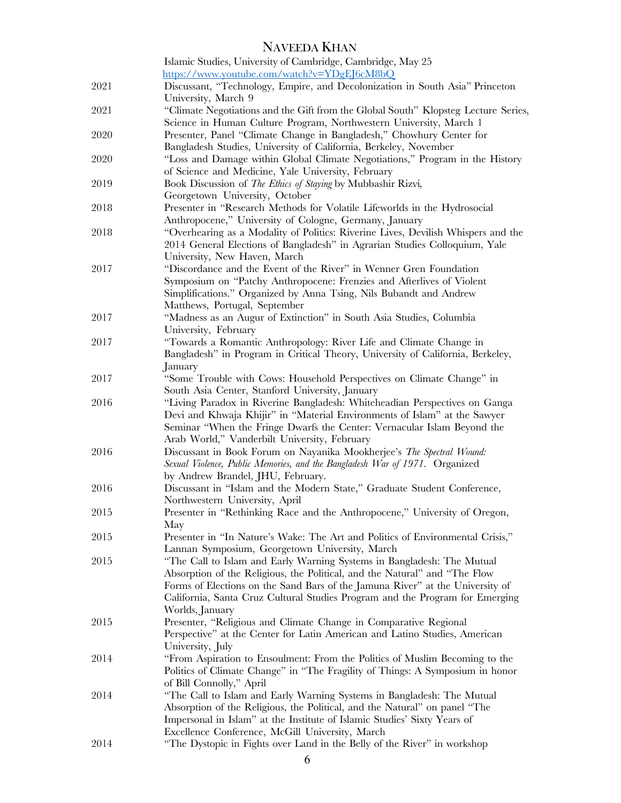|      | Islamic Studies, University of Cambridge, Cambridge, May 25                        |
|------|------------------------------------------------------------------------------------|
|      | https://www.youtube.com/watch?v=YDgEJ6cM8bQ                                        |
| 2021 | Discussant, "Technology, Empire, and Decolonization in South Asia" Princeton       |
|      | University, March 9                                                                |
| 2021 | "Climate Negotiations and the Gift from the Global South" Klopsteg Lecture Series, |
|      | Science in Human Culture Program, Northwestern University, March 1                 |
| 2020 | Presenter, Panel "Climate Change in Bangladesh," Chowhury Center for               |
|      | Bangladesh Studies, University of California, Berkeley, November                   |
| 2020 | "Loss and Damage within Global Climate Negotiations," Program in the History       |
|      | of Science and Medicine, Yale University, February                                 |
| 2019 | Book Discussion of The Ethics of Staying by Mubbashir Rizvi,                       |
|      | Georgetown University, October                                                     |
| 2018 | Presenter in "Research Methods for Volatile Lifeworlds in the Hydrosocial          |
|      | Anthropocene," University of Cologne, Germany, January                             |
| 2018 | "Overhearing as a Modality of Politics: Riverine Lives, Devilish Whispers and the  |
|      | 2014 General Elections of Bangladesh" in Agrarian Studies Colloquium, Yale         |
|      | University, New Haven, March                                                       |
| 2017 | "Discordance and the Event of the River" in Wenner Gren Foundation                 |
|      | Symposium on "Patchy Anthropocene: Frenzies and Afterlives of Violent              |
|      | Simplifications." Organized by Anna Tsing, Nils Bubandt and Andrew                 |
|      | Matthews, Portugal, September                                                      |
| 2017 | "Madness as an Augur of Extinction" in South Asia Studies, Columbia                |
|      | University, February                                                               |
| 2017 | "Towards a Romantic Anthropology: River Life and Climate Change in                 |
|      | Bangladesh" in Program in Critical Theory, University of California, Berkeley,     |
|      | January                                                                            |
| 2017 | "Some Trouble with Cows: Household Perspectives on Climate Change" in              |
|      | South Asia Center, Stanford University, January                                    |
| 2016 | "Living Paradox in Riverine Bangladesh: Whiteheadian Perspectives on Ganga         |
|      | Devi and Khwaja Khijir" in "Material Environments of Islam" at the Sawyer          |
|      | Seminar "When the Fringe Dwarfs the Center: Vernacular Islam Beyond the            |
|      | Arab World," Vanderbilt University, February                                       |
| 2016 | Discussant in Book Forum on Nayanika Mookherjee's The Spectral Wound:              |
|      | Sexual Violence, Public Memories, and the Bangladesh War of 1971. Organized        |
|      | by Andrew Brandel, JHU, February.                                                  |
| 2016 | Discussant in "Islam and the Modern State," Graduate Student Conference,           |
|      | Northwestern University, April                                                     |
| 2015 | Presenter in "Rethinking Race and the Anthropocene," University of Oregon,         |
|      | May                                                                                |
| 2015 | Presenter in "In Nature's Wake: The Art and Politics of Environmental Crisis,"     |
|      | Lannan Symposium, Georgetown University, March                                     |
| 2015 | "The Call to Islam and Early Warning Systems in Bangladesh: The Mutual             |
|      | Absorption of the Religious, the Political, and the Natural" and "The Flow         |
|      | Forms of Elections on the Sand Bars of the Jamuna River" at the University of      |
|      | California, Santa Cruz Cultural Studies Program and the Program for Emerging       |
|      | Worlds, January                                                                    |
| 2015 | Presenter, "Religious and Climate Change in Comparative Regional                   |
|      | Perspective" at the Center for Latin American and Latino Studies, American         |
|      | University, July                                                                   |
| 2014 | "From Aspiration to Ensoulment: From the Politics of Muslim Becoming to the        |
|      | Politics of Climate Change" in "The Fragility of Things: A Symposium in honor      |
|      | of Bill Connolly," April                                                           |
| 2014 | "The Call to Islam and Early Warning Systems in Bangladesh: The Mutual             |
|      | Absorption of the Religious, the Political, and the Natural" on panel "The         |
|      | Impersonal in Islam" at the Institute of Islamic Studies' Sixty Years of           |
|      | Excellence Conference, McGill University, March                                    |
| 2014 | "The Dystopic in Fights over Land in the Belly of the River" in workshop           |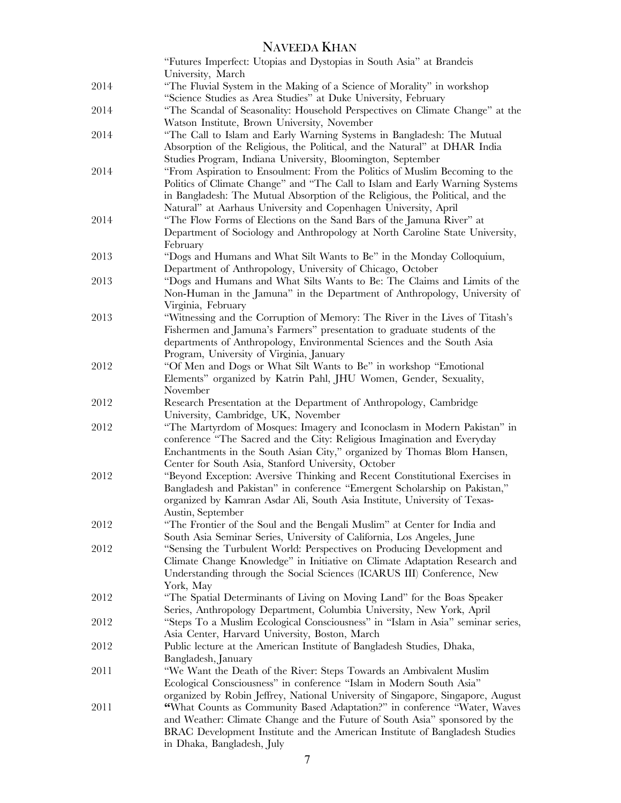|      | "Futures Imperfect: Utopias and Dystopias in South Asia" at Brandeis                                                                               |
|------|----------------------------------------------------------------------------------------------------------------------------------------------------|
|      | University, March                                                                                                                                  |
| 2014 | "The Fluvial System in the Making of a Science of Morality" in workshop                                                                            |
|      | "Science Studies as Area Studies" at Duke University, February                                                                                     |
| 2014 | "The Scandal of Seasonality: Household Perspectives on Climate Change" at the                                                                      |
|      | Watson Institute, Brown University, November                                                                                                       |
| 2014 | "The Call to Islam and Early Warning Systems in Bangladesh: The Mutual                                                                             |
|      | Absorption of the Religious, the Political, and the Natural" at DHAR India                                                                         |
|      | Studies Program, Indiana University, Bloomington, September                                                                                        |
| 2014 | "From Aspiration to Ensoulment: From the Politics of Muslim Becoming to the                                                                        |
|      | Politics of Climate Change" and "The Call to Islam and Early Warning Systems                                                                       |
|      | in Bangladesh: The Mutual Absorption of the Religious, the Political, and the                                                                      |
|      | Natural" at Aarhaus University and Copenhagen University, April                                                                                    |
| 2014 | "The Flow Forms of Elections on the Sand Bars of the Jamuna River" at                                                                              |
|      | Department of Sociology and Anthropology at North Caroline State University,                                                                       |
|      | February                                                                                                                                           |
| 2013 | "Dogs and Humans and What Silt Wants to Be" in the Monday Colloquium,                                                                              |
|      | Department of Anthropology, University of Chicago, October                                                                                         |
| 2013 | "Dogs and Humans and What Silts Wants to Be: The Claims and Limits of the                                                                          |
|      | Non-Human in the Jamuna" in the Department of Anthropology, University of                                                                          |
| 2013 | Virginia, February                                                                                                                                 |
|      | "Witnessing and the Corruption of Memory: The River in the Lives of Titash's                                                                       |
|      | Fishermen and Jamuna's Farmers" presentation to graduate students of the<br>departments of Anthropology, Environmental Sciences and the South Asia |
|      | Program, University of Virginia, January                                                                                                           |
| 2012 | "Of Men and Dogs or What Silt Wants to Be" in workshop "Emotional                                                                                  |
|      | Elements" organized by Katrin Pahl, JHU Women, Gender, Sexuality,                                                                                  |
|      | November                                                                                                                                           |
| 2012 | Research Presentation at the Department of Anthropology, Cambridge                                                                                 |
|      | University, Cambridge, UK, November                                                                                                                |
| 2012 | "The Martyrdom of Mosques: Imagery and Iconoclasm in Modern Pakistan" in                                                                           |
|      | conference "The Sacred and the City: Religious Imagination and Everyday                                                                            |
|      | Enchantments in the South Asian City," organized by Thomas Blom Hansen,                                                                            |
|      | Center for South Asia, Stanford University, October                                                                                                |
| 2012 | "Beyond Exception: Aversive Thinking and Recent Constitutional Exercises in                                                                        |
|      | Bangladesh and Pakistan" in conference "Emergent Scholarship on Pakistan,"                                                                         |
|      | organized by Kamran Asdar Ali, South Asia Institute, University of Texas-                                                                          |
|      | Austin, September                                                                                                                                  |
| 2012 | "The Frontier of the Soul and the Bengali Muslim" at Center for India and                                                                          |
|      | South Asia Seminar Series, University of California, Los Angeles, June                                                                             |
| 2012 | "Sensing the Turbulent World: Perspectives on Producing Development and                                                                            |
|      | Climate Change Knowledge" in Initiative on Climate Adaptation Research and                                                                         |
|      | Understanding through the Social Sciences (ICARUS III) Conference, New                                                                             |
|      | York, May                                                                                                                                          |
| 2012 | "The Spatial Determinants of Living on Moving Land" for the Boas Speaker                                                                           |
|      | Series, Anthropology Department, Columbia University, New York, April                                                                              |
| 2012 | "Steps To a Muslim Ecological Consciousness" in "Islam in Asia" seminar series,                                                                    |
|      | Asia Center, Harvard University, Boston, March                                                                                                     |
| 2012 | Public lecture at the American Institute of Bangladesh Studies, Dhaka,                                                                             |
| 2011 | Bangladesh, January<br>"We Want the Death of the River: Steps Towards an Ambivalent Muslim                                                         |
|      | Ecological Consciousness" in conference "Islam in Modern South Asia"                                                                               |
|      | organized by Robin Jeffrey, National University of Singapore, Singapore, August                                                                    |
| 2011 | "What Counts as Community Based Adaptation?" in conference "Water, Waves                                                                           |
|      | and Weather: Climate Change and the Future of South Asia" sponsored by the                                                                         |
|      | BRAC Development Institute and the American Institute of Bangladesh Studies                                                                        |
|      | in Dhaka, Bangladesh, July                                                                                                                         |
|      |                                                                                                                                                    |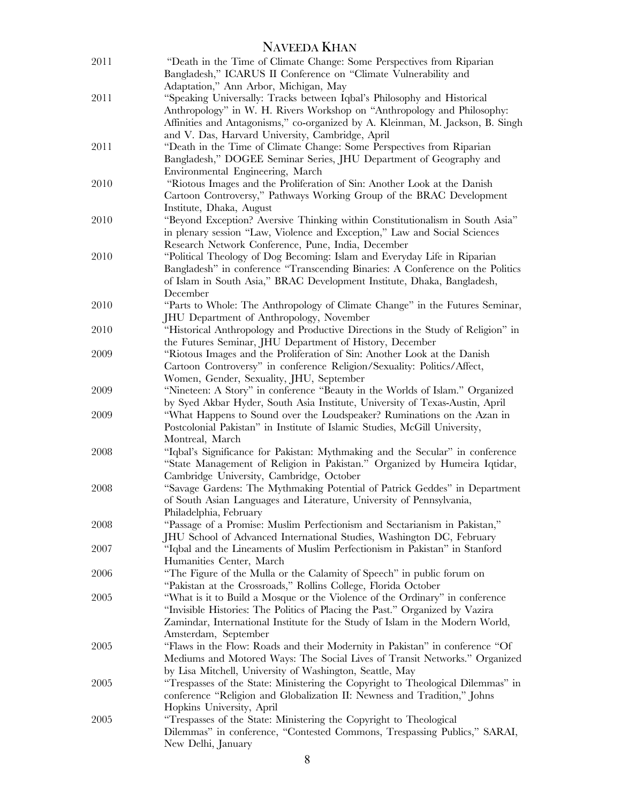|      | <b>NAVEEDA KHAN</b>                                                                                                                                                                                                                                                                      |
|------|------------------------------------------------------------------------------------------------------------------------------------------------------------------------------------------------------------------------------------------------------------------------------------------|
| 2011 | "Death in the Time of Climate Change: Some Perspectives from Riparian<br>Bangladesh," ICARUS II Conference on "Climate Vulnerability and<br>Adaptation," Ann Arbor, Michigan, May                                                                                                        |
| 2011 | "Speaking Universally: Tracks between Iqbal's Philosophy and Historical<br>Anthropology" in W. H. Rivers Workshop on "Anthropology and Philosophy:<br>Affinities and Antagonisms," co-organized by A. Kleinman, M. Jackson, B. Singh<br>and V. Das, Harvard University, Cambridge, April |
| 2011 | "Death in the Time of Climate Change: Some Perspectives from Riparian<br>Bangladesh," DOGEE Seminar Series, JHU Department of Geography and<br>Environmental Engineering, March                                                                                                          |
| 2010 | "Riotous Images and the Proliferation of Sin: Another Look at the Danish<br>Cartoon Controversy," Pathways Working Group of the BRAC Development<br>Institute, Dhaka, August                                                                                                             |
| 2010 | "Beyond Exception? Aversive Thinking within Constitutionalism in South Asia"<br>in plenary session "Law, Violence and Exception," Law and Social Sciences<br>Research Network Conference, Pune, India, December                                                                          |
| 2010 | "Political Theology of Dog Becoming: Islam and Everyday Life in Riparian<br>Bangladesh" in conference "Transcending Binaries: A Conference on the Politics<br>of Islam in South Asia," BRAC Development Institute, Dhaka, Bangladesh,<br>December                                        |
| 2010 | "Parts to Whole: The Anthropology of Climate Change" in the Futures Seminar,<br><b>JHU</b> Department of Anthropology, November                                                                                                                                                          |
| 2010 | "Historical Anthropology and Productive Directions in the Study of Religion" in<br>the Futures Seminar, JHU Department of History, December                                                                                                                                              |
| 2009 | "Riotous Images and the Proliferation of Sin: Another Look at the Danish<br>Cartoon Controversy" in conference Religion/Sexuality: Politics/Affect,<br>Women, Gender, Sexuality, JHU, September                                                                                          |
| 2009 | "Nineteen: A Story" in conference "Beauty in the Worlds of Islam." Organized<br>by Syed Akbar Hyder, South Asia Institute, University of Texas-Austin, April                                                                                                                             |
| 2009 | "What Happens to Sound over the Loudspeaker? Ruminations on the Azan in<br>Postcolonial Pakistan" in Institute of Islamic Studies, McGill University,<br>Montreal, March                                                                                                                 |
| 2008 | "Iqbal's Significance for Pakistan: Mythmaking and the Secular" in conference<br>"State Management of Religion in Pakistan." Organized by Humeira Iqtidar,<br>Cambridge University, Cambridge, October                                                                                   |
| 2008 | "Savage Gardens: The Mythmaking Potential of Patrick Geddes" in Department<br>of South Asian Languages and Literature, University of Pennsylvania,<br>Philadelphia, February                                                                                                             |
| 2008 | "Passage of a Promise: Muslim Perfectionism and Sectarianism in Pakistan,"<br>JHU School of Advanced International Studies, Washington DC, February                                                                                                                                      |
| 2007 | "Iqbal and the Lineaments of Muslim Perfectionism in Pakistan" in Stanford<br>Humanities Center, March                                                                                                                                                                                   |
| 2006 | "The Figure of the Mulla or the Calamity of Speech" in public forum on<br>"Pakistan at the Crossroads," Rollins College, Florida October                                                                                                                                                 |
| 2005 | "What is it to Build a Mosque or the Violence of the Ordinary" in conference<br>"Invisible Histories: The Politics of Placing the Past." Organized by Vazira<br>Zamindar, International Institute for the Study of Islam in the Modern World,<br>Amsterdam, September                    |
| 2005 | "Flaws in the Flow: Roads and their Modernity in Pakistan" in conference "Of<br>Mediums and Motored Ways: The Social Lives of Transit Networks." Organized                                                                                                                               |
| 2005 | by Lisa Mitchell, University of Washington, Seattle, May<br>"Trespasses of the State: Ministering the Copyright to Theological Dilemmas" in<br>conference "Religion and Globalization II: Newness and Tradition," Johns<br>Hopkins University, April                                     |
| 2005 | "Trespasses of the State: Ministering the Copyright to Theological<br>Dilemmas" in conference, "Contested Commons, Trespassing Publics," SARAI,<br>New Delhi, January                                                                                                                    |

## 8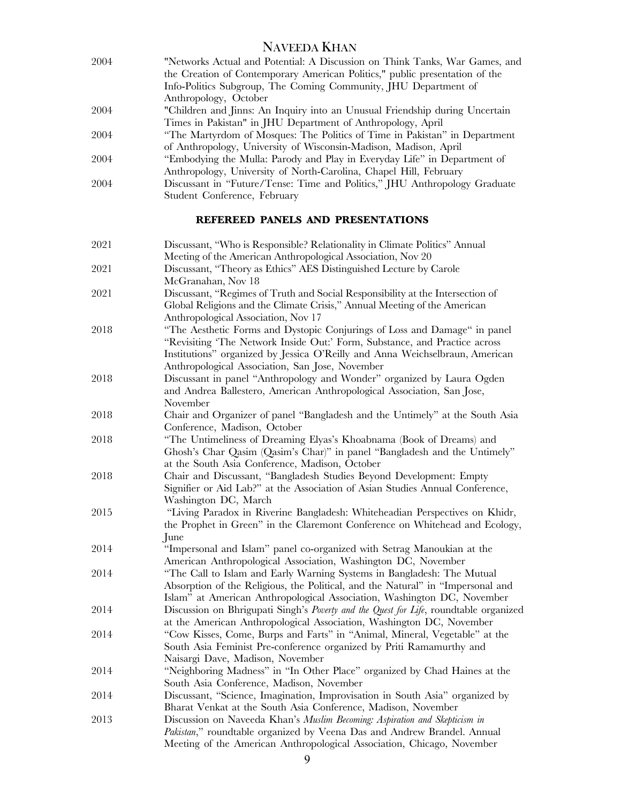| 2004 | "Networks Actual and Potential: A Discussion on Think Tanks, War Games, and |
|------|-----------------------------------------------------------------------------|
|      | the Creation of Contemporary American Politics," public presentation of the |
|      | Info-Politics Subgroup, The Coming Community, JHU Department of             |
|      | Anthropology, October                                                       |
| 2004 | "Children and Jinns: An Inquiry into an Unusual Friendship during Uncertain |
|      | Times in Pakistan" in JHU Department of Anthropology, April                 |
| 2004 | "The Martyrdom of Mosques: The Politics of Time in Pakistan" in Department  |
|      | of Anthropology, University of Wisconsin-Madison, Madison, April            |
| 2004 | "Embodying the Mulla: Parody and Play in Everyday Life" in Department of    |
|      | Anthropology, University of North-Carolina, Chapel Hill, February           |
| 2004 | Discussant in "Future/Tense: Time and Politics," JHU Anthropology Graduate  |
|      | Student Conference, February                                                |
|      |                                                                             |

# **REFEREED PANELS AND PRESENTATIONS**

| 2021 | Discussant, "Who is Responsible? Relationality in Climate Politics" Annual<br>Meeting of the American Anthropological Association, Nov 20                                                                                                                                                  |
|------|--------------------------------------------------------------------------------------------------------------------------------------------------------------------------------------------------------------------------------------------------------------------------------------------|
| 2021 | Discussant, "Theory as Ethics" AES Distinguished Lecture by Carole<br>McGranahan, Nov 18                                                                                                                                                                                                   |
| 2021 | Discussant, "Regimes of Truth and Social Responsibility at the Intersection of<br>Global Religions and the Climate Crisis," Annual Meeting of the American<br>Anthropological Association, Nov 17                                                                                          |
| 2018 | "The Aesthetic Forms and Dystopic Conjurings of Loss and Damage" in panel<br>"Revisiting 'The Network Inside Out:' Form, Substance, and Practice across<br>Institutions" organized by Jessica O'Reilly and Anna Weichselbraun, American<br>Anthropological Association, San Jose, November |
| 2018 | Discussant in panel "Anthropology and Wonder" organized by Laura Ogden<br>and Andrea Ballestero, American Anthropological Association, San Jose,<br>November                                                                                                                               |
| 2018 | Chair and Organizer of panel "Bangladesh and the Untimely" at the South Asia<br>Conference, Madison, October                                                                                                                                                                               |
| 2018 | "The Untimeliness of Dreaming Elyas's Khoabnama (Book of Dreams) and<br>Ghosh's Char Qasim (Qasim's Char)" in panel "Bangladesh and the Untimely"<br>at the South Asia Conference, Madison, October                                                                                        |
| 2018 | Chair and Discussant, "Bangladesh Studies Beyond Development: Empty<br>Signifier or Aid Lab?" at the Association of Asian Studies Annual Conference,<br>Washington DC, March                                                                                                               |
| 2015 | "Living Paradox in Riverine Bangladesh: Whiteheadian Perspectives on Khidr,<br>the Prophet in Green" in the Claremont Conference on Whitehead and Ecology,<br>June                                                                                                                         |
| 2014 | "Impersonal and Islam" panel co-organized with Setrag Manoukian at the<br>American Anthropological Association, Washington DC, November                                                                                                                                                    |
| 2014 | "The Call to Islam and Early Warning Systems in Bangladesh: The Mutual<br>Absorption of the Religious, the Political, and the Natural" in "Impersonal and<br>Islam" at American Anthropological Association, Washington DC, November                                                       |
| 2014 | Discussion on Bhrigupati Singh's <i>Poverty and the Quest for Life</i> , roundtable organized<br>at the American Anthropological Association, Washington DC, November                                                                                                                      |
| 2014 | "Cow Kisses, Come, Burps and Farts" in "Animal, Mineral, Vegetable" at the<br>South Asia Feminist Pre-conference organized by Priti Ramamurthy and<br>Naisargi Dave, Madison, November                                                                                                     |
| 2014 | "Neighboring Madness" in "In Other Place" organized by Chad Haines at the<br>South Asia Conference, Madison, November                                                                                                                                                                      |
| 2014 | Discussant, "Science, Imagination, Improvisation in South Asia" organized by<br>Bharat Venkat at the South Asia Conference, Madison, November                                                                                                                                              |
| 2013 | Discussion on Naveeda Khan's Muslim Becoming: Aspiration and Skepticism in<br>Pakistan," roundtable organized by Veena Das and Andrew Brandel. Annual<br>Meeting of the American Anthropological Association, Chicago, November                                                            |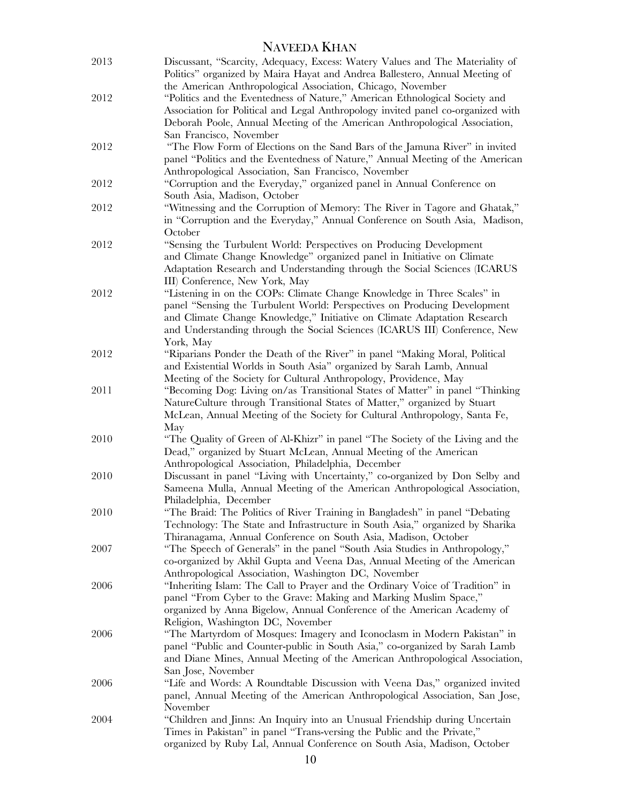| 2013 | Discussant, "Scarcity, Adequacy, Excess: Watery Values and The Materiality of<br>Politics" organized by Maira Hayat and Andrea Ballestero, Annual Meeting of |
|------|--------------------------------------------------------------------------------------------------------------------------------------------------------------|
|      | the American Anthropological Association, Chicago, November                                                                                                  |
| 2012 | "Politics and the Eventedness of Nature," American Ethnological Society and                                                                                  |
|      | Association for Political and Legal Anthropology invited panel co-organized with                                                                             |
|      | Deborah Poole, Annual Meeting of the American Anthropological Association,<br>San Francisco, November                                                        |
| 2012 | "The Flow Form of Elections on the Sand Bars of the Jamuna River" in invited                                                                                 |
|      | panel "Politics and the Eventedness of Nature," Annual Meeting of the American                                                                               |
|      | Anthropological Association, San Francisco, November                                                                                                         |
| 2012 | "Corruption and the Everyday," organized panel in Annual Conference on                                                                                       |
|      | South Asia, Madison, October                                                                                                                                 |
| 2012 | "Witnessing and the Corruption of Memory: The River in Tagore and Ghatak,"                                                                                   |
|      | in "Corruption and the Everyday," Annual Conference on South Asia, Madison,                                                                                  |
|      | October                                                                                                                                                      |
| 2012 | "Sensing the Turbulent World: Perspectives on Producing Development                                                                                          |
|      | and Climate Change Knowledge" organized panel in Initiative on Climate                                                                                       |
|      | Adaptation Research and Understanding through the Social Sciences (ICARUS                                                                                    |
|      | III) Conference, New York, May                                                                                                                               |
| 2012 | "Listening in on the COPs: Climate Change Knowledge in Three Scales" in                                                                                      |
|      | panel "Sensing the Turbulent World: Perspectives on Producing Development<br>and Climate Change Knowledge," Initiative on Climate Adaptation Research        |
|      | and Understanding through the Social Sciences (ICARUS III) Conference, New                                                                                   |
|      | York, May                                                                                                                                                    |
| 2012 | "Riparians Ponder the Death of the River" in panel "Making Moral, Political                                                                                  |
|      | and Existential Worlds in South Asia" organized by Sarah Lamb, Annual                                                                                        |
|      | Meeting of the Society for Cultural Anthropology, Providence, May                                                                                            |
| 2011 | "Becoming Dog: Living on/as Transitional States of Matter" in panel "Thinking                                                                                |
|      | NatureCulture through Transitional States of Matter," organized by Stuart                                                                                    |
|      | McLean, Annual Meeting of the Society for Cultural Anthropology, Santa Fe,<br>May                                                                            |
| 2010 | "The Quality of Green of Al-Khizr" in panel "The Society of the Living and the                                                                               |
|      | Dead," organized by Stuart McLean, Annual Meeting of the American                                                                                            |
|      | Anthropological Association, Philadelphia, December                                                                                                          |
| 2010 | Discussant in panel "Living with Uncertainty," co-organized by Don Selby and                                                                                 |
|      | Sameena Mulla, Annual Meeting of the American Anthropological Association,<br>Philadelphia, December                                                         |
| 2010 | "The Braid: The Politics of River Training in Bangladesh" in panel "Debating                                                                                 |
|      | Technology: The State and Infrastructure in South Asia," organized by Sharika                                                                                |
|      | Thiranagama, Annual Conference on South Asia, Madison, October                                                                                               |
| 2007 | "The Speech of Generals" in the panel "South Asia Studies in Anthropology,"                                                                                  |
|      | co-organized by Akhil Gupta and Veena Das, Annual Meeting of the American                                                                                    |
|      | Anthropological Association, Washington DC, November                                                                                                         |
| 2006 | "Inheriting Islam: The Call to Prayer and the Ordinary Voice of Tradition" in                                                                                |
|      | panel "From Cyber to the Grave: Making and Marking Muslim Space,"                                                                                            |
|      | organized by Anna Bigelow, Annual Conference of the American Academy of                                                                                      |
| 2006 | Religion, Washington DC, November<br>"The Martyrdom of Mosques: Imagery and Iconoclasm in Modern Pakistan" in                                                |
|      | panel "Public and Counter-public in South Asia," co-organized by Sarah Lamb                                                                                  |
|      | and Diane Mines, Annual Meeting of the American Anthropological Association,                                                                                 |
|      | San Jose, November                                                                                                                                           |
| 2006 | "Life and Words: A Roundtable Discussion with Veena Das," organized invited                                                                                  |
|      | panel, Annual Meeting of the American Anthropological Association, San Jose,                                                                                 |
|      | November                                                                                                                                                     |
| 2004 | "Children and Jinns: An Inquiry into an Unusual Friendship during Uncertain                                                                                  |
|      | Times in Pakistan" in panel "Trans-versing the Public and the Private,"                                                                                      |
|      | organized by Ruby Lal, Annual Conference on South Asia, Madison, October                                                                                     |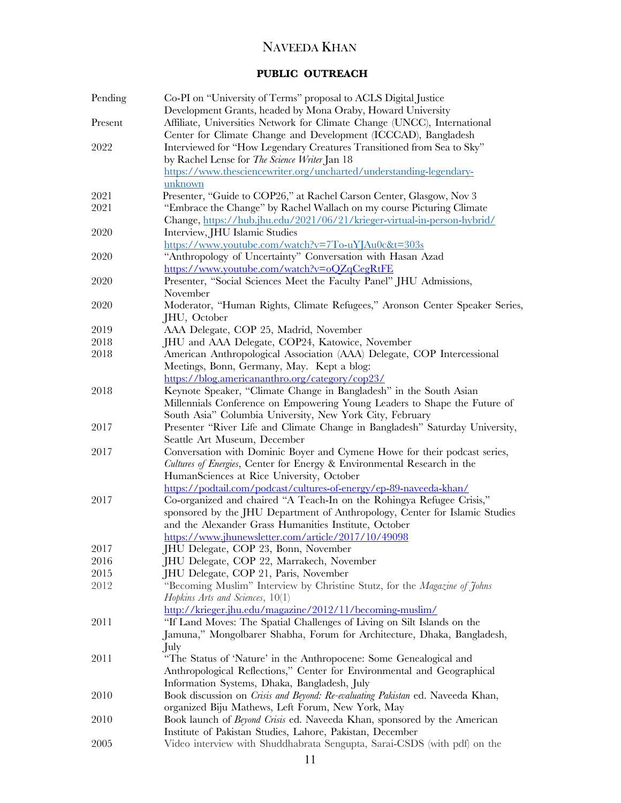# **PUBLIC OUTREACH**

| Pending | Co-PI on "University of Terms" proposal to ACLS Digital Justice<br>Development Grants, headed by Mona Oraby, Howard University                       |
|---------|------------------------------------------------------------------------------------------------------------------------------------------------------|
| Present | Affiliate, Universities Network for Climate Change (UNCC), International<br>Center for Climate Change and Development (ICCCAD), Bangladesh           |
| 2022    | Interviewed for "How Legendary Creatures Transitioned from Sea to Sky"                                                                               |
|         | by Rachel Lense for The Science Writer Jan 18                                                                                                        |
|         | https://www.thesciencewriter.org/uncharted/understanding-legendary-                                                                                  |
|         | unknown                                                                                                                                              |
| 2021    | Presenter, "Guide to COP26," at Rachel Carson Center, Glasgow, Nov 3                                                                                 |
| 2021    | "Embrace the Change" by Rachel Wallach on my course Picturing Climate<br>Change, https://hub.jhu.edu/2021/06/21/krieger-virtual-in-person-hybrid/    |
| 2020    | Interview, JHU Islamic Studies                                                                                                                       |
|         | https://www.youtube.com/watch?v=7To-uYJAu0c&t=303s                                                                                                   |
| 2020    | "Anthropology of Uncertainty" Conversation with Hasan Azad                                                                                           |
|         | https://www.youtube.com/watch?v=oQZqCegRtFE                                                                                                          |
| 2020    | Presenter, "Social Sciences Meet the Faculty Panel" JHU Admissions,                                                                                  |
|         | November                                                                                                                                             |
| 2020    | Moderator, "Human Rights, Climate Refugees," Aronson Center Speaker Series,<br>JHU, October                                                          |
| 2019    | AAA Delegate, COP 25, Madrid, November                                                                                                               |
| 2018    | JHU and AAA Delegate, COP24, Katowice, November                                                                                                      |
| 2018    | American Anthropological Association (AAA) Delegate, COP Intercessional<br>Meetings, Bonn, Germany, May. Kept a blog:                                |
|         | https://blog.americananthro.org/category/cop23/                                                                                                      |
| 2018    | Keynote Speaker, "Climate Change in Bangladesh" in the South Asian                                                                                   |
|         | Millennials Conference on Empowering Young Leaders to Shape the Future of                                                                            |
|         | South Asia" Columbia University, New York City, February                                                                                             |
| 2017    | Presenter "River Life and Climate Change in Bangladesh" Saturday University,<br>Seattle Art Museum, December                                         |
| 2017    | Conversation with Dominic Boyer and Cymene Howe for their podcast series,                                                                            |
|         | Cultures of Energies, Center for Energy & Environmental Research in the                                                                              |
|         | HumanSciences at Rice University, October                                                                                                            |
|         | https://podtail.com/podcast/cultures-of-energy/ep-89-naveeda-khan/                                                                                   |
| 2017    | Co-organized and chaired "A Teach-In on the Rohingya Refugee Crisis,"<br>sponsored by the JHU Department of Anthropology, Center for Islamic Studies |
|         | and the Alexander Grass Humanities Institute, October                                                                                                |
|         | https://www.jhunewsletter.com/article/2017/10/49098                                                                                                  |
| 2017    | JHU Delegate, COP 23, Bonn, November                                                                                                                 |
| 2016    | JHU Delegate, COP 22, Marrakech, November                                                                                                            |
| 2015    | JHU Delegate, COP 21, Paris, November                                                                                                                |
| 2012    | "Becoming Muslim" Interview by Christine Stutz, for the <i>Magazine of Johns</i>                                                                     |
|         | Hopkins Arts and Sciences, 10(1)                                                                                                                     |
|         | http://krieger.jhu.edu/magazine/2012/11/becoming-muslim/                                                                                             |
| 2011    | "If Land Moves: The Spatial Challenges of Living on Silt Islands on the                                                                              |
|         | Jamuna," Mongolbarer Shabha, Forum for Architecture, Dhaka, Bangladesh,                                                                              |
|         | July                                                                                                                                                 |
| 2011    | "The Status of 'Nature' in the Anthropocene: Some Genealogical and                                                                                   |
|         | Anthropological Reflections," Center for Environmental and Geographical                                                                              |
|         | Information Systems, Dhaka, Bangladesh, July                                                                                                         |
| 2010    | Book discussion on <i>Crisis and Beyond: Re-evaluating Pakistan</i> ed. Naveeda Khan,                                                                |
|         | organized Biju Mathews, Left Forum, New York, May                                                                                                    |
| 2010    | Book launch of <i>Beyond Crisis</i> ed. Naveeda Khan, sponsored by the American                                                                      |
|         | Institute of Pakistan Studies, Lahore, Pakistan, December                                                                                            |
| 2005    | Video interview with Shuddhabrata Sengupta, Sarai-CSDS (with pdf) on the                                                                             |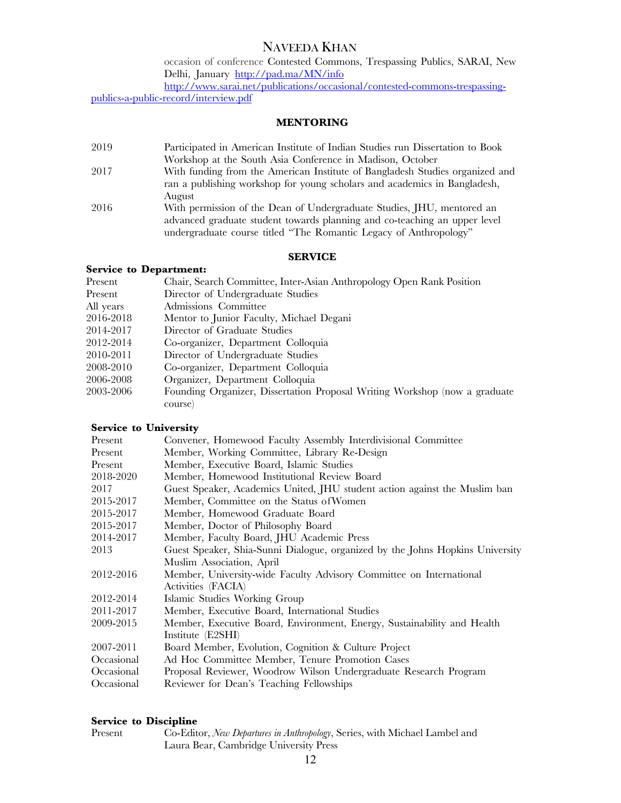occasion of conference Contested Commons, Trespassing Publics, SARAI, New Delhi, January http://pad.ma/MN/info

http://www.sarai.net/publications/occasional/contested-commons-trespassingpublics-a-public-record/interview.pdf

### **MENTORING**

2019 Participated in American Institute of Indian Studies run Dissertation to Book Workshop at the South Asia Conference in Madison, October 2017 With funding from the American Institute of Bangladesh Studies organized and ran a publishing workshop for young scholars and academics in Bangladesh, August 2016 With permission of the Dean of Undergraduate Studies, JHU, mentored an advanced graduate student towards planning and co-teaching an upper level undergraduate course titled "The Romantic Legacy of Anthropology"

### **SERVICE**

### **Service to Department:**

| Present   | Chair, Search Committee, Inter-Asian Anthropology Open Rank Position       |
|-----------|----------------------------------------------------------------------------|
| Present   | Director of Undergraduate Studies                                          |
| All years | Admissions Committee                                                       |
| 2016-2018 | Mentor to Junior Faculty, Michael Degani                                   |
| 2014-2017 | Director of Graduate Studies                                               |
| 2012-2014 | Co-organizer, Department Colloquia                                         |
| 2010-2011 | Director of Undergraduate Studies                                          |
| 2008-2010 | Co-organizer, Department Colloquia                                         |
| 2006-2008 | Organizer, Department Colloquia                                            |
| 2003-2006 | Founding Organizer, Dissertation Proposal Writing Workshop (now a graduate |
|           | course)                                                                    |

### **Service to University**

| Present    | Convener, Homewood Faculty Assembly Interdivisional Committee                 |
|------------|-------------------------------------------------------------------------------|
| Present    | Member, Working Committee, Library Re-Design                                  |
| Present    | Member, Executive Board, Islamic Studies                                      |
| 2018-2020  | Member, Homewood Institutional Review Board                                   |
| 2017       | Guest Speaker, Academics United, JHU student action against the Muslim ban    |
| 2015-2017  | Member, Committee on the Status of Women                                      |
| 2015-2017  | Member, Homewood Graduate Board                                               |
| 2015-2017  | Member, Doctor of Philosophy Board                                            |
| 2014-2017  | Member, Faculty Board, JHU Academic Press                                     |
| 2013       | Guest Speaker, Shia-Sunni Dialogue, organized by the Johns Hopkins University |
|            | Muslim Association, April                                                     |
| 2012-2016  | Member, University-wide Faculty Advisory Committee on International           |
|            | Activities (FACIA)                                                            |
| 2012-2014  | Islamic Studies Working Group                                                 |
| 2011-2017  | Member, Executive Board, International Studies                                |
| 2009-2015  | Member, Executive Board, Environment, Energy, Sustainability and Health       |
|            | Institute (E2SHI)                                                             |
| 2007-2011  | Board Member, Evolution, Cognition & Culture Project                          |
| Occasional | Ad Hoc Committee Member, Tenure Promotion Cases                               |
| Occasional | Proposal Reviewer, Woodrow Wilson Undergraduate Research Program              |
| Occasional | Reviewer for Dean's Teaching Fellowships                                      |

### **Service to Discipline**

| Present | Co-Editor, New Departures in Anthropology, Series, with Michael Lambel and |
|---------|----------------------------------------------------------------------------|
|         | Laura Bear, Cambridge University Press                                     |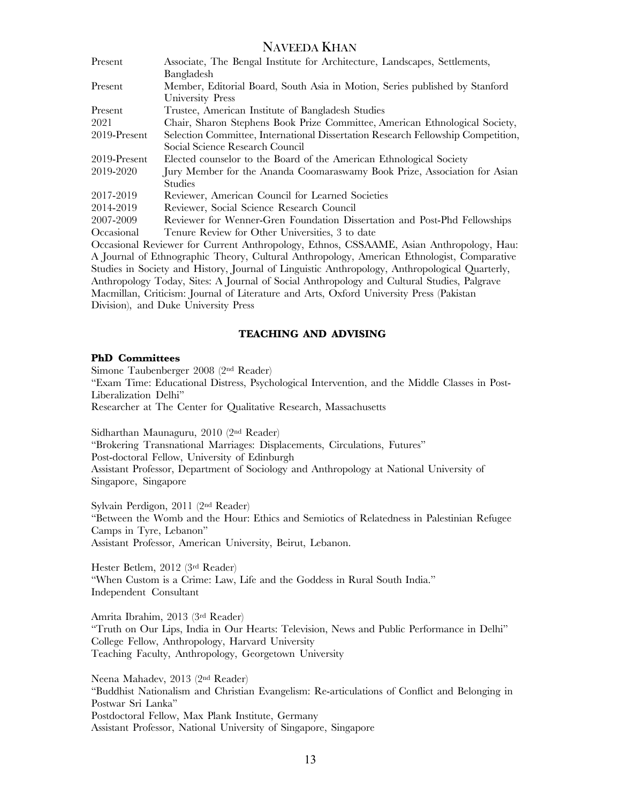| Present      | Associate, The Bengal Institute for Architecture, Landscapes, Settlements,       |
|--------------|----------------------------------------------------------------------------------|
|              | Bangladesh                                                                       |
| Present      | Member, Editorial Board, South Asia in Motion, Series published by Stanford      |
|              | University Press                                                                 |
| Present      | Trustee, American Institute of Bangladesh Studies                                |
| 2021         | Chair, Sharon Stephens Book Prize Committee, American Ethnological Society,      |
| 2019-Present | Selection Committee, International Dissertation Research Fellowship Competition, |
|              | Social Science Research Council                                                  |
| 2019-Present | Elected counselor to the Board of the American Ethnological Society              |
| 2019-2020    | Jury Member for the Ananda Coomaraswamy Book Prize, Association for Asian        |
|              | Studies                                                                          |
| 2017-2019    | Reviewer, American Council for Learned Societies                                 |
| 2014-2019    | Reviewer, Social Science Research Council                                        |
| 2007-2009    | Reviewer for Wenner-Gren Foundation Dissertation and Post-Phd Fellowships        |
| Occasional   | Tenure Review for Other Universities, 3 to date                                  |

Occasional Reviewer for Current Anthropology, Ethnos, CSSAAME, Asian Anthropology, Hau: A Journal of Ethnographic Theory, Cultural Anthropology, American Ethnologist, Comparative Studies in Society and History, Journal of Linguistic Anthropology, Anthropological Quarterly, Anthropology Today, Sites: A Journal of Social Anthropology and Cultural Studies, Palgrave Macmillan, Criticism: Journal of Literature and Arts, Oxford University Press (Pakistan Division), and Duke University Press

### **TEACHING AND ADVISING**

### **PhD Committees**

Simone Taubenberger 2008 (2nd Reader) "Exam Time: Educational Distress, Psychological Intervention, and the Middle Classes in Post-Liberalization Delhi" Researcher at The Center for Qualitative Research, Massachusetts

Sidharthan Maunaguru, 2010 (2nd Reader) "Brokering Transnational Marriages: Displacements, Circulations, Futures" Post-doctoral Fellow, University of Edinburgh Assistant Professor, Department of Sociology and Anthropology at National University of Singapore, Singapore

Sylvain Perdigon, 2011 (2nd Reader) "Between the Womb and the Hour: Ethics and Semiotics of Relatedness in Palestinian Refugee Camps in Tyre, Lebanon" Assistant Professor, American University, Beirut, Lebanon.

Hester Betlem, 2012 (3rd Reader) "When Custom is a Crime: Law, Life and the Goddess in Rural South India." Independent Consultant

Amrita Ibrahim, 2013 (3rd Reader) "Truth on Our Lips, India in Our Hearts: Television, News and Public Performance in Delhi" College Fellow, Anthropology, Harvard University Teaching Faculty, Anthropology, Georgetown University

Neena Mahadev, 2013 (2nd Reader) "Buddhist Nationalism and Christian Evangelism: Re-articulations of Conflict and Belonging in Postwar Sri Lanka" Postdoctoral Fellow, Max Plank Institute, Germany Assistant Professor, National University of Singapore, Singapore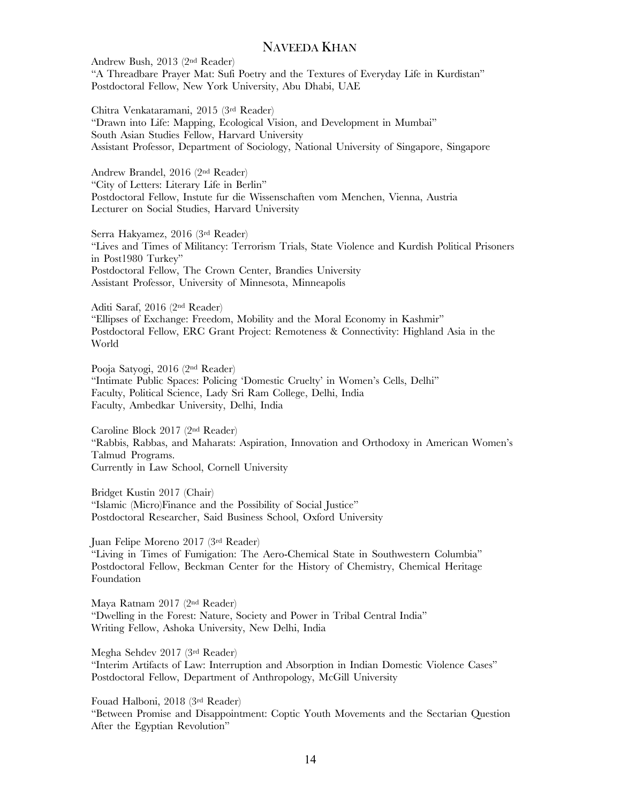Andrew Bush, 2013 (2nd Reader) "A Threadbare Prayer Mat: Sufi Poetry and the Textures of Everyday Life in Kurdistan" Postdoctoral Fellow, New York University, Abu Dhabi, UAE

Chitra Venkataramani, 2015 (3rd Reader) "Drawn into Life: Mapping, Ecological Vision, and Development in Mumbai" South Asian Studies Fellow, Harvard University Assistant Professor, Department of Sociology, National University of Singapore, Singapore

Andrew Brandel, 2016 (2nd Reader) "City of Letters: Literary Life in Berlin" Postdoctoral Fellow, Instute fur die Wissenschaften vom Menchen, Vienna, Austria Lecturer on Social Studies, Harvard University

Serra Hakyamez, 2016 (3rd Reader) "Lives and Times of Militancy: Terrorism Trials, State Violence and Kurdish Political Prisoners in Post1980 Turkey" Postdoctoral Fellow, The Crown Center, Brandies University Assistant Professor, University of Minnesota, Minneapolis

Aditi Saraf, 2016 (2nd Reader) "Ellipses of Exchange: Freedom, Mobility and the Moral Economy in Kashmir" Postdoctoral Fellow, ERC Grant Project: Remoteness & Connectivity: Highland Asia in the World

Pooja Satyogi, 2016 (2nd Reader) "Intimate Public Spaces: Policing 'Domestic Cruelty' in Women's Cells, Delhi" Faculty, Political Science, Lady Sri Ram College, Delhi, India Faculty, Ambedkar University, Delhi, India

Caroline Block 2017 (2nd Reader) "Rabbis, Rabbas, and Maharats: Aspiration, Innovation and Orthodoxy in American Women's Talmud Programs. Currently in Law School, Cornell University

Bridget Kustin 2017 (Chair) "Islamic (Micro)Finance and the Possibility of Social Justice" Postdoctoral Researcher, Said Business School, Oxford University

Juan Felipe Moreno 2017 (3rd Reader) "Living in Times of Fumigation: The Aero-Chemical State in Southwestern Columbia" Postdoctoral Fellow, Beckman Center for the History of Chemistry, Chemical Heritage Foundation

Maya Ratnam 2017 (2nd Reader) "Dwelling in the Forest: Nature, Society and Power in Tribal Central India" Writing Fellow, Ashoka University, New Delhi, India

Megha Sehdev 2017 (3rd Reader) "Interim Artifacts of Law: Interruption and Absorption in Indian Domestic Violence Cases" Postdoctoral Fellow, Department of Anthropology, McGill University

Fouad Halboni, 2018 (3rd Reader) "Between Promise and Disappointment: Coptic Youth Movements and the Sectarian Question After the Egyptian Revolution"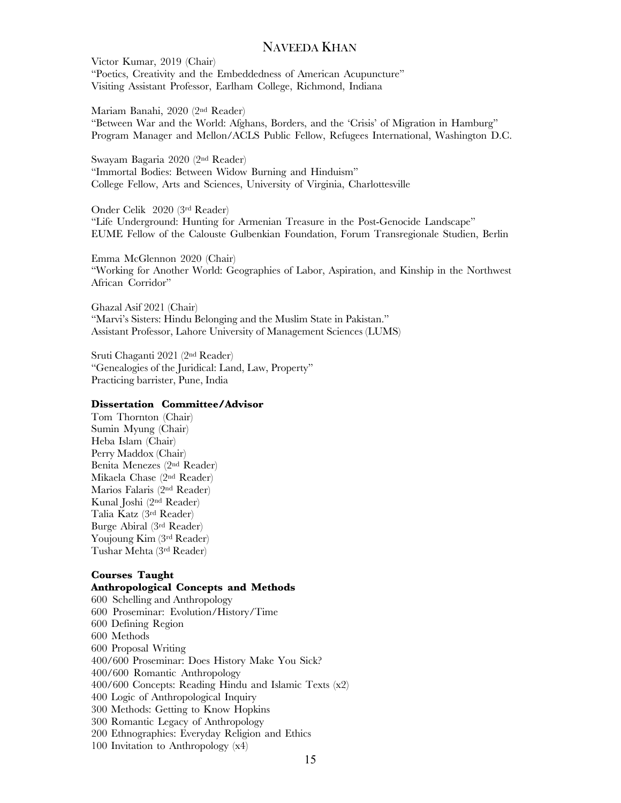Victor Kumar, 2019 (Chair) "Poetics, Creativity and the Embeddedness of American Acupuncture" Visiting Assistant Professor, Earlham College, Richmond, Indiana

Mariam Banahi, 2020 (2nd Reader) "Between War and the World: Afghans, Borders, and the 'Crisis' of Migration in Hamburg" Program Manager and Mellon/ACLS Public Fellow, Refugees International, Washington D.C.

Swayam Bagaria 2020 (2nd Reader) "Immortal Bodies: Between Widow Burning and Hinduism" College Fellow, Arts and Sciences, University of Virginia, Charlottesville

Onder Celik 2020 (3rd Reader) "Life Underground: Hunting for Armenian Treasure in the Post-Genocide Landscape" EUME Fellow of the Calouste Gulbenkian Foundation, Forum Transregionale Studien, Berlin

Emma McGlennon 2020 (Chair) "Working for Another World: Geographies of Labor, Aspiration, and Kinship in the Northwest African Corridor"

Ghazal Asif 2021 (Chair) "Marvi's Sisters: Hindu Belonging and the Muslim State in Pakistan." Assistant Professor, Lahore University of Management Sciences (LUMS)

Sruti Chaganti 2021 (2nd Reader) "Genealogies of the Juridical: Land, Law, Property" Practicing barrister, Pune, India

#### **Dissertation Committee/Advisor**

Tom Thornton (Chair) Sumin Myung (Chair) Heba Islam (Chair) Perry Maddox (Chair) Benita Menezes (2nd Reader) Mikaela Chase (2nd Reader) Marios Falaris (2nd Reader) Kunal Joshi (2nd Reader) Talia Katz (3rd Reader) Burge Abiral (3rd Reader) Youjoung Kim (3rd Reader) Tushar Mehta (3rd Reader)

### **Courses Taught Anthropological Concepts and Methods**

600 Schelling and Anthropology 600 Proseminar: Evolution/History/Time 600 Defining Region 600 Methods 600 Proposal Writing 400/600 Proseminar: Does History Make You Sick? 400/600 Romantic Anthropology 400/600 Concepts: Reading Hindu and Islamic Texts (x2) 400 Logic of Anthropological Inquiry 300 Methods: Getting to Know Hopkins 300 Romantic Legacy of Anthropology 200 Ethnographies: Everyday Religion and Ethics 100 Invitation to Anthropology (x4)